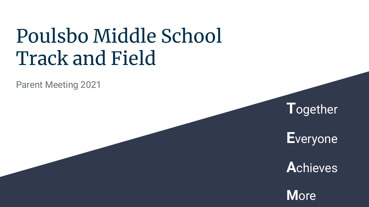# Poulsbo Middle School Track and Field

Parent Meeting 2021



**E**veryone

**A**chieves

**M**ore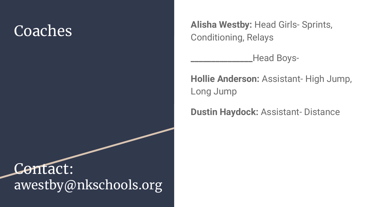## Coaches

Contact: awestby@nkschools.org **Alisha Westby:** Head Girls- Sprints, Conditioning, Relays

**\_\_\_\_\_\_\_\_\_\_\_\_\_\_\_**Head Boys-

**Hollie Anderson:** Assistant- High Jump, Long Jump

**Dustin Haydock:** Assistant- Distance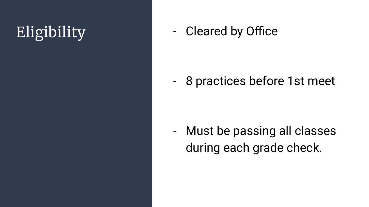Eligibility **Cleared by Office** 

- 8 practices before 1st meet

- Must be passing all classes during each grade check.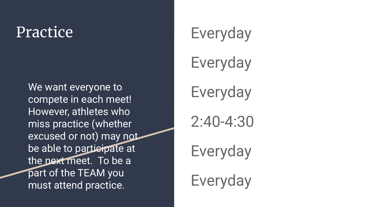We want everyone to compete in each meet! However, athletes who miss practice (whether excused or not) may not be able to participate at the next meet. To be a part of the TEAM you must attend practice.

## Practice Everyday

Everyday

Everyday

2:40-4:30

Everyday

Everyday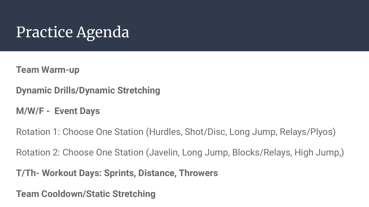## Practice Agenda

**Team Warm-up**

**Dynamic Drills/Dynamic Stretching**

**M/W/F - Event Days**

Rotation 1: Choose One Station (Hurdles, Shot/Disc, Long Jump, Relays/Plyos)

Rotation 2: Choose One Station (Javelin, Long Jump, Blocks/Relays, High Jump,)

**T/Th- Workout Days: Sprints, Distance, Throwers**

**Team Cooldown/Static Stretching**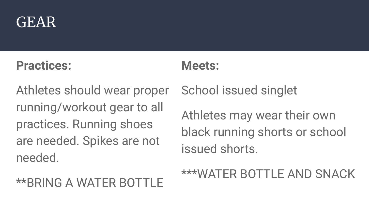

#### **Practices:**

#### **Meets:**

Athletes should wear proper running/workout gear to all practices. Running shoes are needed. Spikes are not needed.

### \*\*BRING A WATER BOTTLE

School issued singlet

Athletes may wear their own black running shorts or school issued shorts.

\*\*\*WATER BOTTLE AND SNACK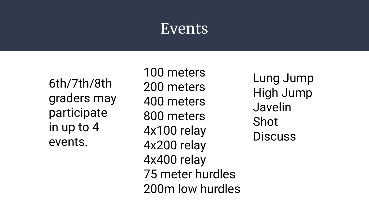### Events

6th/7th/8th graders may participate in up to 4 events.

100 meters 200 meters 400 meters 800 meters 4x100 relay 4x200 relay 4x400 relay 75 meter hurdles 200m low hurdles

Lung Jump High Jump Javelin Shot **Discuss**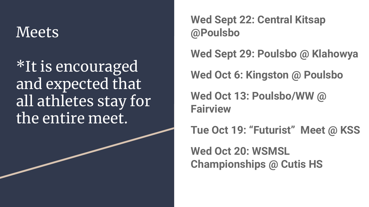## **Meets**

\*It is encouraged and expected that all athletes stay for the entire meet.

**Wed Sept 22: Central Kitsap @Poulsbo**

**Wed Sept 29: Poulsbo @ Klahowya**

**Wed Oct 6: Kingston @ Poulsbo**

**Wed Oct 13: Poulsbo/WW @ Fairview**

**Tue Oct 19: "Futurist" Meet @ KSS**

**Wed Oct 20: WSMSL Championships @ Cutis HS**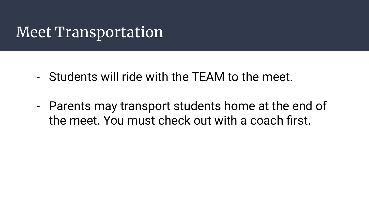## Meet Transportation

- Students will ride with the TEAM to the meet.
- Parents may transport students home at the end of the meet. You must check out with a coach first.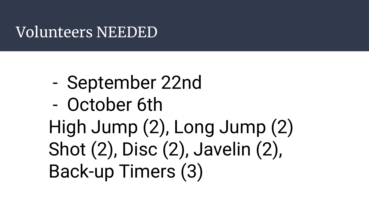## Volunteers NEEDED

- September 22nd
- October 6th High Jump (2), Long Jump (2) Shot (2), Disc (2), Javelin (2), Back-up Timers (3)